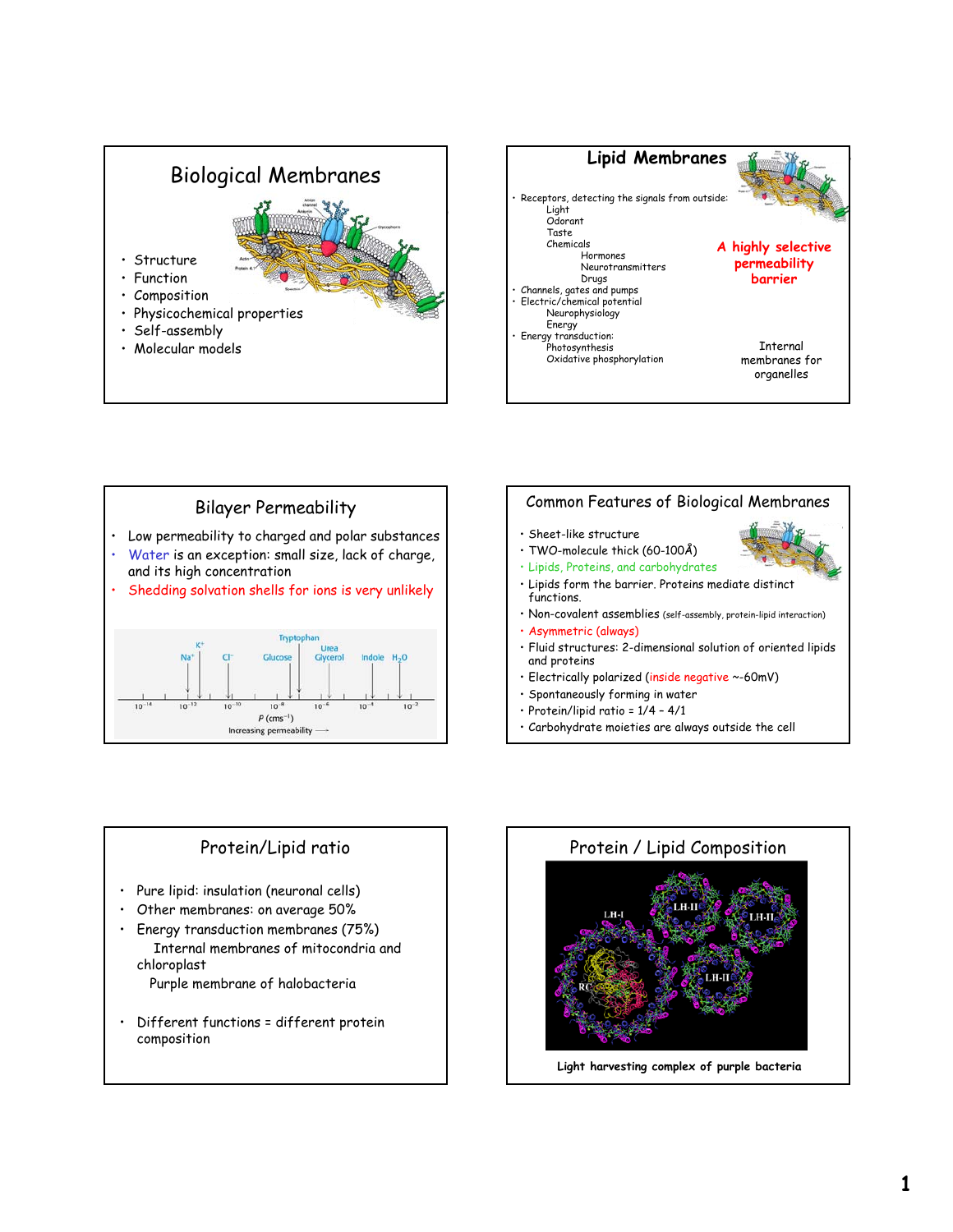# Biological Membranes

- Composition
- Physicochemical properties
- Self-assembly

**Structure** • Function

• Molecular models





### Common Features of Biological Membranes • Sheet-like structure • TWO-molecule thick (60-100Å) • Lipids, Proteins, and carbohydrates • Lipids form the barrier. Proteins mediate distinct functions. • Non-covalent assemblies (self-assembly, protein-lipid interaction) • Asymmetric (always) • Fluid structures: 2-dimensional solution of oriented lipids and proteins • Electrically polarized (inside negative ~-60mV) • Spontaneously forming in water • Protein/lipid ratio = 1/4 – 4/1

- 
- Carbohydrate moieties are always outside the cell

- Pure lipid: insulation (neuronal cells)
- Other membranes: on average 50%
- Energy transduction membranes (75%) Internal membranes of mitocondria and chloroplast

Purple membrane of halobacteria

• Different functions = different protein composition

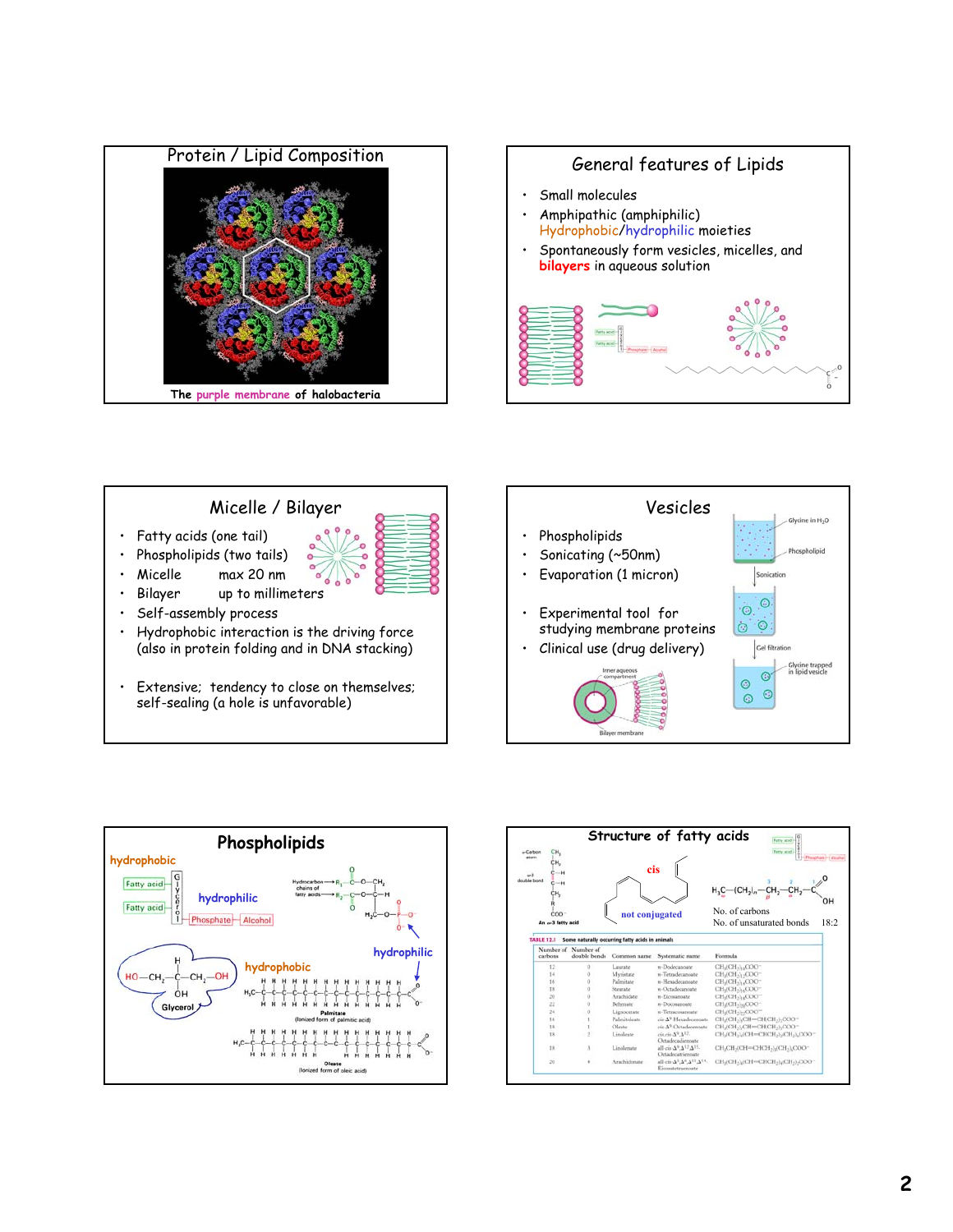











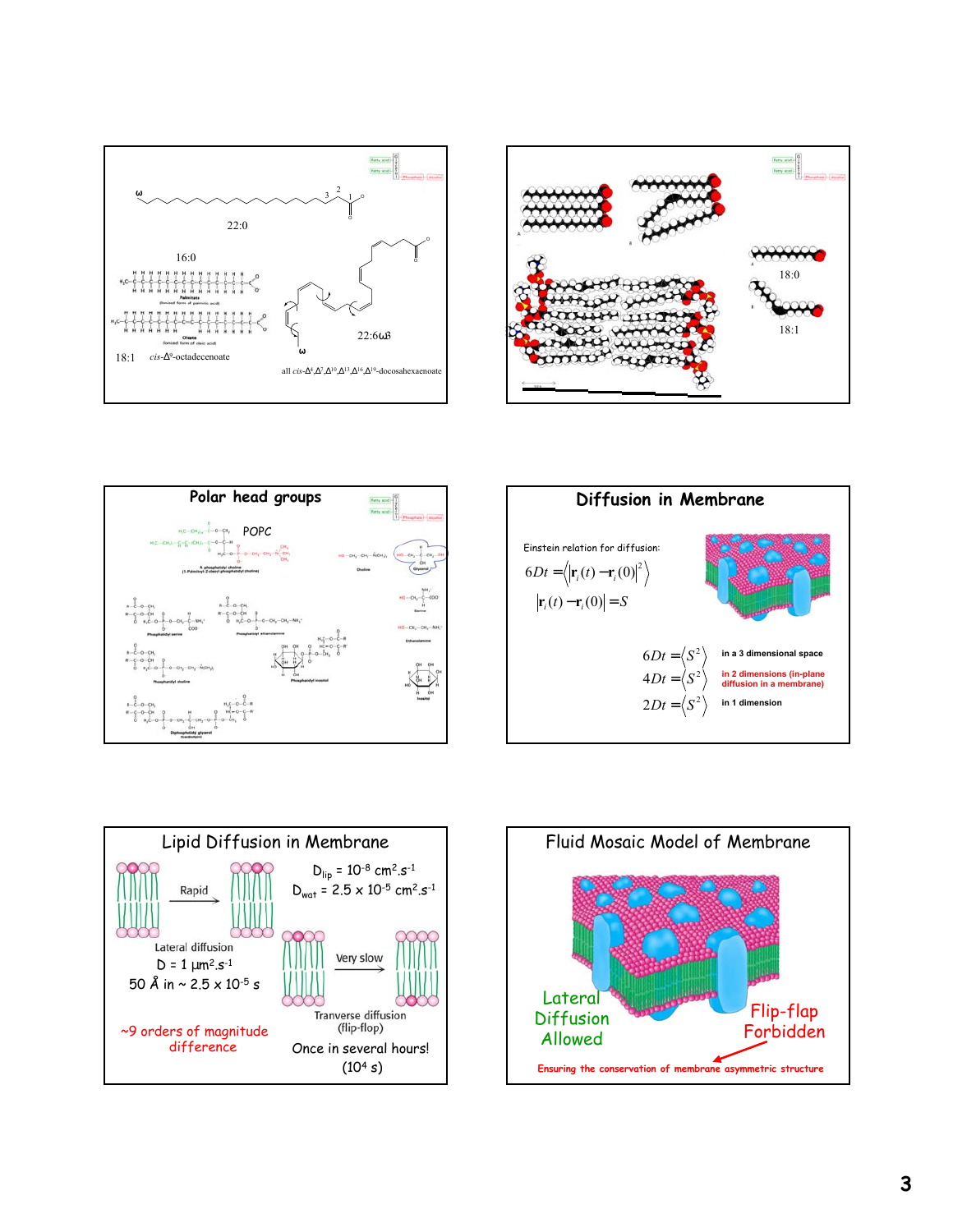









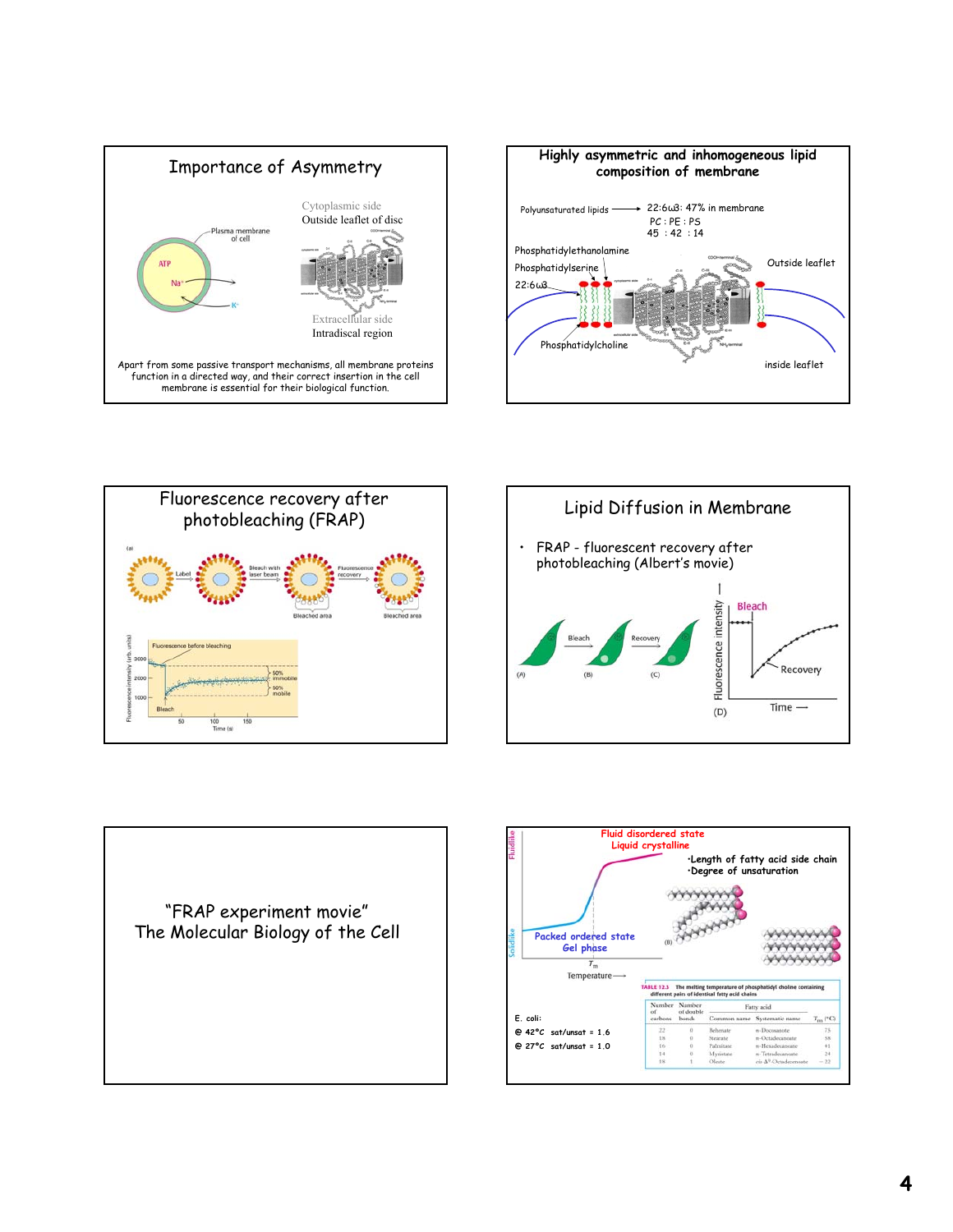









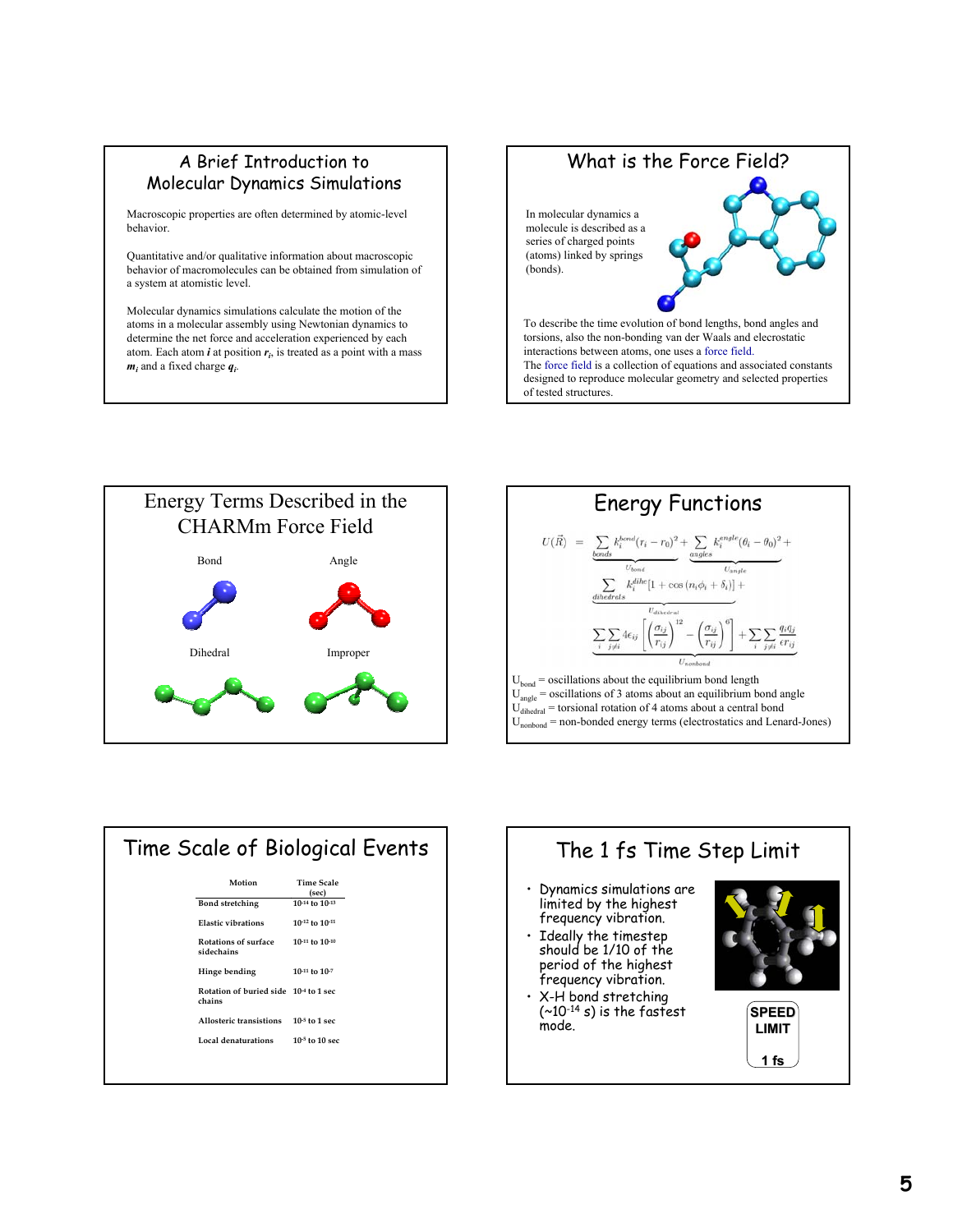### A Brief Introduction to Molecular Dynamics Simulations

Macroscopic properties are often determined by atomic-level behavior.

Quantitative and/or qualitative information about macroscopic behavior of macromolecules can be obtained from simulation of a system at atomistic level.

Molecular dynamics simulations calculate the motion of the atoms in a molecular assembly using Newtonian dynamics to determine the net force and acceleration experienced by each atom. Each atom  $\boldsymbol{i}$  at position  $\boldsymbol{r}_i$ , is treated as a point with a mass *mi* and a fixed charge *qi* .

## What is the Force Field? To describe the time evolution of bond lengths, bond angles and In molecular dynamics a molecule is described as a series of charged points (atoms) linked by springs (bonds).

torsions, also the non-bonding van der Waals and elecrostatic interactions between atoms, one uses a force field. The force field is a collection of equations and associated constants designed to reproduce molecular geometry and selected properties of tested structures.





| Time Scale of Biological Events |                                                 |                            |  |
|---------------------------------|-------------------------------------------------|----------------------------|--|
|                                 | Motion                                          | <b>Time Scale</b><br>(sec) |  |
|                                 | <b>Bond stretching</b>                          | 10-14 to 10-13             |  |
|                                 | <b>Elastic vibrations</b>                       | 10-12 to 10-11             |  |
|                                 | Rotations of surface<br>sidechains              | 10-11 to 10-10             |  |
|                                 | Hinge bending                                   | $10-11$ to $10-7$          |  |
|                                 | Rotation of buried side 10-4 to 1 sec<br>chains |                            |  |
|                                 | Allosteric transistions                         | $10-5$ to 1 sec            |  |
|                                 | Local denaturations                             | $10-5$ to $10$ sec         |  |
|                                 |                                                 |                            |  |